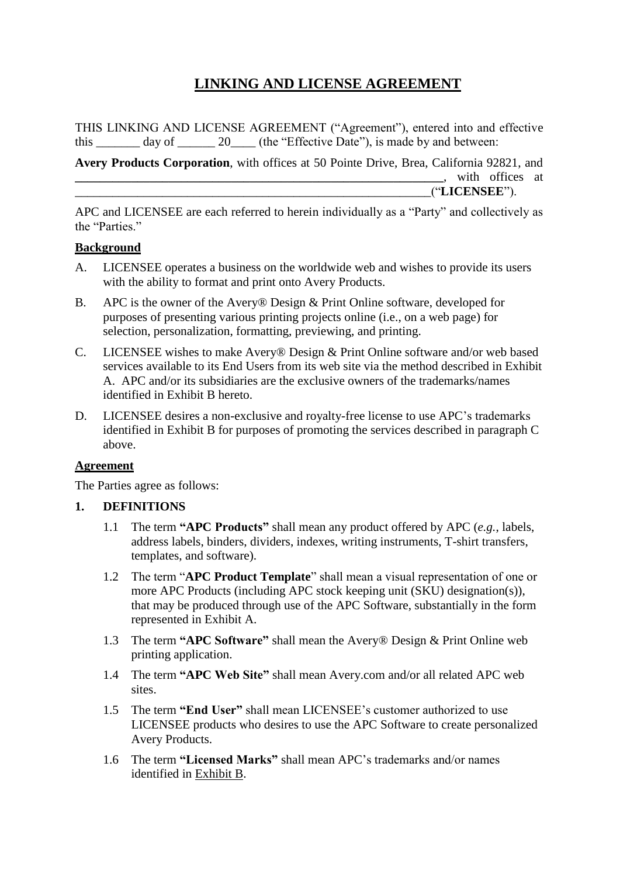# **LINKING AND LICENSE AGREEMENT**

THIS LINKING AND LICENSE AGREEMENT ("Agreement"), entered into and effective this \_\_\_\_\_\_\_ day of \_\_\_\_\_\_ 20\_\_\_\_ (the "Effective Date"), is made by and between:

**Avery Products Corporation**, with offices at 50 Pointe Drive, Brea, California 92821, and **\_\_\_\_\_\_\_\_\_\_\_\_\_\_\_\_\_\_\_\_\_\_\_\_\_\_\_\_\_\_\_\_\_\_\_\_\_\_\_\_\_\_\_\_\_\_\_\_\_\_\_\_\_\_\_\_\_\_\_**, with offices at \_\_\_\_\_\_\_\_\_\_\_\_\_\_\_\_\_\_\_\_\_\_\_\_\_\_\_\_\_\_\_\_\_\_\_\_\_\_\_\_\_\_\_\_\_\_\_\_\_\_\_\_\_\_\_\_\_("**LICENSEE**").

APC and LICENSEE are each referred to herein individually as a "Party" and collectively as the "Parties."

#### **Background**

- A. LICENSEE operates a business on the worldwide web and wishes to provide its users with the ability to format and print onto Avery Products.
- B. APC is the owner of the Avery® Design & Print Online software, developed for purposes of presenting various printing projects online (i.e., on a web page) for selection, personalization, formatting, previewing, and printing.
- C. LICENSEE wishes to make Avery® Design & Print Online software and/or web based services available to its End Users from its web site via the method described in Exhibit A. APC and/or its subsidiaries are the exclusive owners of the trademarks/names identified in Exhibit B hereto.
- D. LICENSEE desires a non-exclusive and royalty-free license to use APC's trademarks identified in Exhibit B for purposes of promoting the services described in paragraph C above.

#### **Agreement**

The Parties agree as follows:

#### **1. DEFINITIONS**

- 1.1 The term **"APC Products"** shall mean any product offered by APC (*e.g.*, labels, address labels, binders, dividers, indexes, writing instruments, T-shirt transfers, templates, and software).
- 1.2 The term "**APC Product Template**" shall mean a visual representation of one or more APC Products (including APC stock keeping unit (SKU) designation(s)), that may be produced through use of the APC Software, substantially in the form represented in Exhibit A.
- 1.3 The term **"APC Software"** shall mean the Avery® Design & Print Online web printing application.
- 1.4 The term **"APC Web Site"** shall mean Avery.com and/or all related APC web sites.
- 1.5 The term **"End User"** shall mean LICENSEE's customer authorized to use LICENSEE products who desires to use the APC Software to create personalized Avery Products.
- 1.6 The term **"Licensed Marks"** shall mean APC's trademarks and/or names identified in Exhibit B.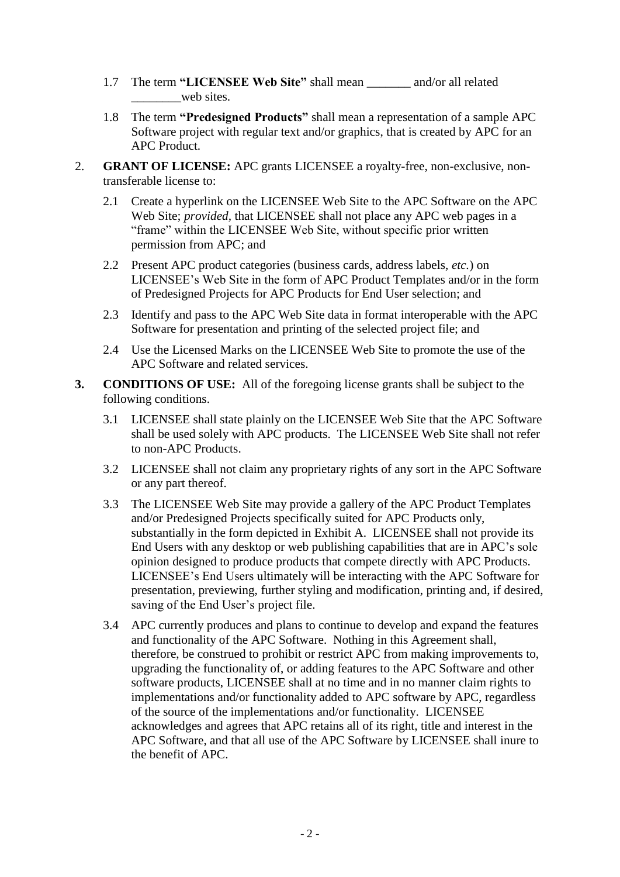- 1.7 The term **"LICENSEE Web Site"** shall mean \_\_\_\_\_\_\_ and/or all related web sites.
- 1.8 The term **"Predesigned Products"** shall mean a representation of a sample APC Software project with regular text and/or graphics, that is created by APC for an APC Product.
- 2. **GRANT OF LICENSE:** APC grants LICENSEE a royalty-free, non-exclusive, nontransferable license to:
	- 2.1 Create a hyperlink on the LICENSEE Web Site to the APC Software on the APC Web Site; *provided,* that LICENSEE shall not place any APC web pages in a "frame" within the LICENSEE Web Site, without specific prior written permission from APC; and
	- 2.2 Present APC product categories (business cards, address labels, *etc.*) on LICENSEE's Web Site in the form of APC Product Templates and/or in the form of Predesigned Projects for APC Products for End User selection; and
	- 2.3 Identify and pass to the APC Web Site data in format interoperable with the APC Software for presentation and printing of the selected project file; and
	- 2.4 Use the Licensed Marks on the LICENSEE Web Site to promote the use of the APC Software and related services.
- **3. CONDITIONS OF USE:** All of the foregoing license grants shall be subject to the following conditions.
	- 3.1 LICENSEE shall state plainly on the LICENSEE Web Site that the APC Software shall be used solely with APC products. The LICENSEE Web Site shall not refer to non-APC Products.
	- 3.2 LICENSEE shall not claim any proprietary rights of any sort in the APC Software or any part thereof.
	- 3.3 The LICENSEE Web Site may provide a gallery of the APC Product Templates and/or Predesigned Projects specifically suited for APC Products only, substantially in the form depicted in Exhibit A. LICENSEE shall not provide its End Users with any desktop or web publishing capabilities that are in APC's sole opinion designed to produce products that compete directly with APC Products. LICENSEE's End Users ultimately will be interacting with the APC Software for presentation, previewing, further styling and modification, printing and, if desired, saving of the End User's project file.
	- 3.4 APC currently produces and plans to continue to develop and expand the features and functionality of the APC Software. Nothing in this Agreement shall, therefore, be construed to prohibit or restrict APC from making improvements to, upgrading the functionality of, or adding features to the APC Software and other software products, LICENSEE shall at no time and in no manner claim rights to implementations and/or functionality added to APC software by APC, regardless of the source of the implementations and/or functionality. LICENSEE acknowledges and agrees that APC retains all of its right, title and interest in the APC Software, and that all use of the APC Software by LICENSEE shall inure to the benefit of APC.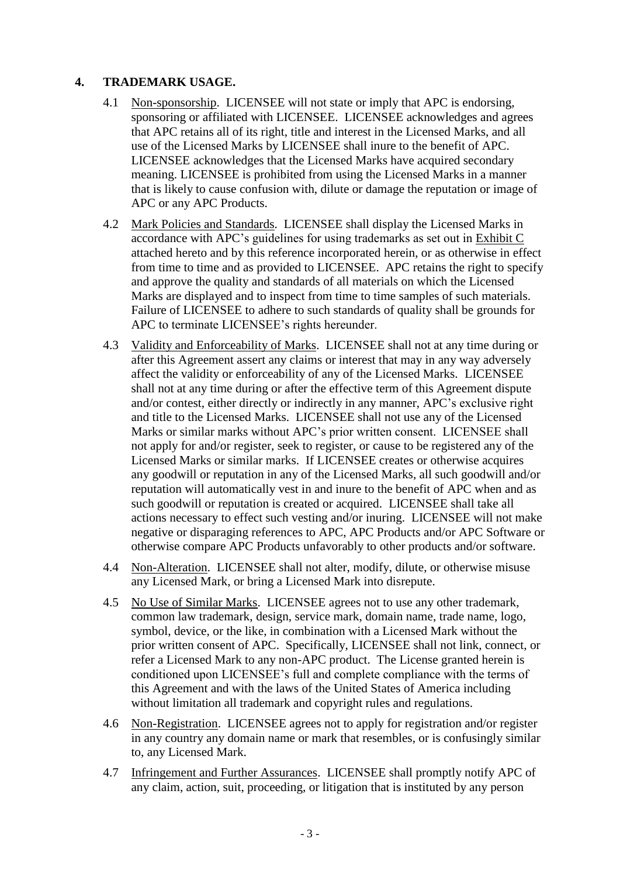#### **4. TRADEMARK USAGE.**

- 4.1 Non-sponsorship. LICENSEE will not state or imply that APC is endorsing, sponsoring or affiliated with LICENSEE. LICENSEE acknowledges and agrees that APC retains all of its right, title and interest in the Licensed Marks, and all use of the Licensed Marks by LICENSEE shall inure to the benefit of APC. LICENSEE acknowledges that the Licensed Marks have acquired secondary meaning. LICENSEE is prohibited from using the Licensed Marks in a manner that is likely to cause confusion with, dilute or damage the reputation or image of APC or any APC Products.
- 4.2 Mark Policies and Standards. LICENSEE shall display the Licensed Marks in accordance with APC's guidelines for using trademarks as set out in Exhibit C attached hereto and by this reference incorporated herein, or as otherwise in effect from time to time and as provided to LICENSEE. APC retains the right to specify and approve the quality and standards of all materials on which the Licensed Marks are displayed and to inspect from time to time samples of such materials. Failure of LICENSEE to adhere to such standards of quality shall be grounds for APC to terminate LICENSEE's rights hereunder.
- 4.3 Validity and Enforceability of Marks. LICENSEE shall not at any time during or after this Agreement assert any claims or interest that may in any way adversely affect the validity or enforceability of any of the Licensed Marks. LICENSEE shall not at any time during or after the effective term of this Agreement dispute and/or contest, either directly or indirectly in any manner, APC's exclusive right and title to the Licensed Marks. LICENSEE shall not use any of the Licensed Marks or similar marks without APC's prior written consent. LICENSEE shall not apply for and/or register, seek to register, or cause to be registered any of the Licensed Marks or similar marks. If LICENSEE creates or otherwise acquires any goodwill or reputation in any of the Licensed Marks, all such goodwill and/or reputation will automatically vest in and inure to the benefit of APC when and as such goodwill or reputation is created or acquired. LICENSEE shall take all actions necessary to effect such vesting and/or inuring. LICENSEE will not make negative or disparaging references to APC, APC Products and/or APC Software or otherwise compare APC Products unfavorably to other products and/or software.
- 4.4 Non-Alteration. LICENSEE shall not alter, modify, dilute, or otherwise misuse any Licensed Mark, or bring a Licensed Mark into disrepute.
- 4.5 No Use of Similar Marks. LICENSEE agrees not to use any other trademark, common law trademark, design, service mark, domain name, trade name, logo, symbol, device, or the like, in combination with a Licensed Mark without the prior written consent of APC. Specifically, LICENSEE shall not link, connect, or refer a Licensed Mark to any non-APC product. The License granted herein is conditioned upon LICENSEE's full and complete compliance with the terms of this Agreement and with the laws of the United States of America including without limitation all trademark and copyright rules and regulations.
- 4.6 Non-Registration. LICENSEE agrees not to apply for registration and/or register in any country any domain name or mark that resembles, or is confusingly similar to, any Licensed Mark.
- 4.7 Infringement and Further Assurances. LICENSEE shall promptly notify APC of any claim, action, suit, proceeding, or litigation that is instituted by any person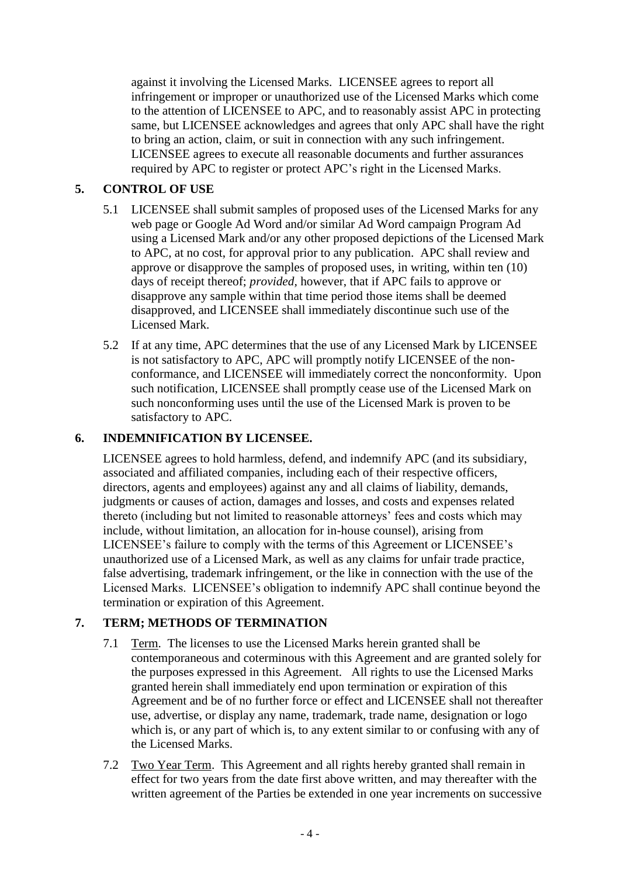against it involving the Licensed Marks. LICENSEE agrees to report all infringement or improper or unauthorized use of the Licensed Marks which come to the attention of LICENSEE to APC, and to reasonably assist APC in protecting same, but LICENSEE acknowledges and agrees that only APC shall have the right to bring an action, claim, or suit in connection with any such infringement. LICENSEE agrees to execute all reasonable documents and further assurances required by APC to register or protect APC's right in the Licensed Marks.

## **5. CONTROL OF USE**

- 5.1 LICENSEE shall submit samples of proposed uses of the Licensed Marks for any web page or Google Ad Word and/or similar Ad Word campaign Program Ad using a Licensed Mark and/or any other proposed depictions of the Licensed Mark to APC, at no cost, for approval prior to any publication. APC shall review and approve or disapprove the samples of proposed uses, in writing, within ten (10) days of receipt thereof; *provided,* however, that if APC fails to approve or disapprove any sample within that time period those items shall be deemed disapproved, and LICENSEE shall immediately discontinue such use of the Licensed Mark.
- 5.2 If at any time, APC determines that the use of any Licensed Mark by LICENSEE is not satisfactory to APC, APC will promptly notify LICENSEE of the nonconformance, and LICENSEE will immediately correct the nonconformity. Upon such notification, LICENSEE shall promptly cease use of the Licensed Mark on such nonconforming uses until the use of the Licensed Mark is proven to be satisfactory to APC.

#### **6. INDEMNIFICATION BY LICENSEE.**

LICENSEE agrees to hold harmless, defend, and indemnify APC (and its subsidiary, associated and affiliated companies, including each of their respective officers, directors, agents and employees) against any and all claims of liability, demands, judgments or causes of action, damages and losses, and costs and expenses related thereto (including but not limited to reasonable attorneys' fees and costs which may include, without limitation, an allocation for in-house counsel), arising from LICENSEE's failure to comply with the terms of this Agreement or LICENSEE's unauthorized use of a Licensed Mark, as well as any claims for unfair trade practice, false advertising, trademark infringement, or the like in connection with the use of the Licensed Marks. LICENSEE's obligation to indemnify APC shall continue beyond the termination or expiration of this Agreement.

## **7. TERM; METHODS OF TERMINATION**

- 7.1 Term. The licenses to use the Licensed Marks herein granted shall be contemporaneous and coterminous with this Agreement and are granted solely for the purposes expressed in this Agreement. All rights to use the Licensed Marks granted herein shall immediately end upon termination or expiration of this Agreement and be of no further force or effect and LICENSEE shall not thereafter use, advertise, or display any name, trademark, trade name, designation or logo which is, or any part of which is, to any extent similar to or confusing with any of the Licensed Marks.
- 7.2 Two Year Term. This Agreement and all rights hereby granted shall remain in effect for two years from the date first above written, and may thereafter with the written agreement of the Parties be extended in one year increments on successive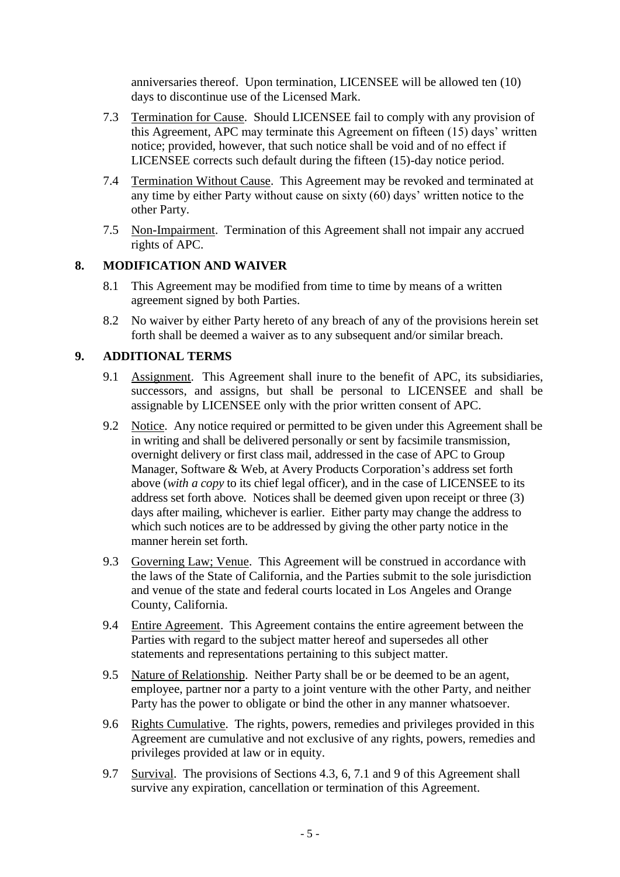anniversaries thereof. Upon termination, LICENSEE will be allowed ten (10) days to discontinue use of the Licensed Mark.

- 7.3 Termination for Cause. Should LICENSEE fail to comply with any provision of this Agreement, APC may terminate this Agreement on fifteen (15) days' written notice; provided, however, that such notice shall be void and of no effect if LICENSEE corrects such default during the fifteen (15)-day notice period.
- 7.4 Termination Without Cause. This Agreement may be revoked and terminated at any time by either Party without cause on sixty (60) days' written notice to the other Party.
- 7.5 Non-Impairment. Termination of this Agreement shall not impair any accrued rights of APC.

#### **8. MODIFICATION AND WAIVER**

- 8.1 This Agreement may be modified from time to time by means of a written agreement signed by both Parties.
- 8.2 No waiver by either Party hereto of any breach of any of the provisions herein set forth shall be deemed a waiver as to any subsequent and/or similar breach.

#### **9. ADDITIONAL TERMS**

- 9.1 Assignment. This Agreement shall inure to the benefit of APC, its subsidiaries, successors, and assigns, but shall be personal to LICENSEE and shall be assignable by LICENSEE only with the prior written consent of APC.
- 9.2 Notice. Any notice required or permitted to be given under this Agreement shall be in writing and shall be delivered personally or sent by facsimile transmission, overnight delivery or first class mail, addressed in the case of APC to Group Manager, Software & Web, at Avery Products Corporation's address set forth above (*with a copy* to its chief legal officer), and in the case of LICENSEE to its address set forth above. Notices shall be deemed given upon receipt or three (3) days after mailing, whichever is earlier. Either party may change the address to which such notices are to be addressed by giving the other party notice in the manner herein set forth.
- 9.3 Governing Law; Venue. This Agreement will be construed in accordance with the laws of the State of California, and the Parties submit to the sole jurisdiction and venue of the state and federal courts located in Los Angeles and Orange County, California.
- 9.4 Entire Agreement. This Agreement contains the entire agreement between the Parties with regard to the subject matter hereof and supersedes all other statements and representations pertaining to this subject matter.
- 9.5 Nature of Relationship. Neither Party shall be or be deemed to be an agent, employee, partner nor a party to a joint venture with the other Party, and neither Party has the power to obligate or bind the other in any manner whatsoever.
- 9.6 Rights Cumulative. The rights, powers, remedies and privileges provided in this Agreement are cumulative and not exclusive of any rights, powers, remedies and privileges provided at law or in equity.
- 9.7 Survival. The provisions of Sections 4.3, 6, 7.1 and 9 of this Agreement shall survive any expiration, cancellation or termination of this Agreement.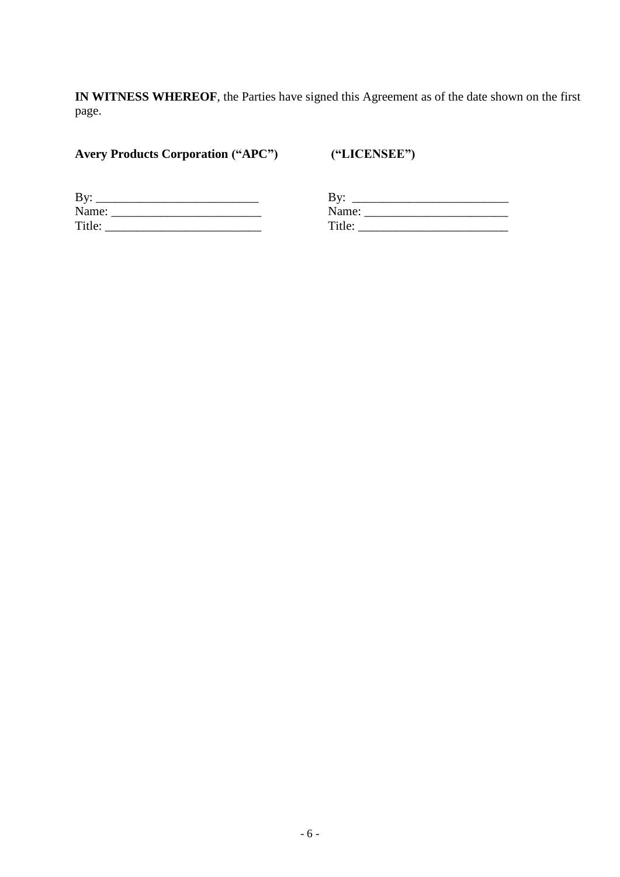**IN WITNESS WHEREOF**, the Parties have signed this Agreement as of the date shown on the first page.

# **Avery Products Corporation ("APC") ("LICENSEE")**

| By:    | By:    |
|--------|--------|
| Name:  | Name:  |
| Title: | Title: |

| By:    |  |  |  |
|--------|--|--|--|
| Name:  |  |  |  |
| Title: |  |  |  |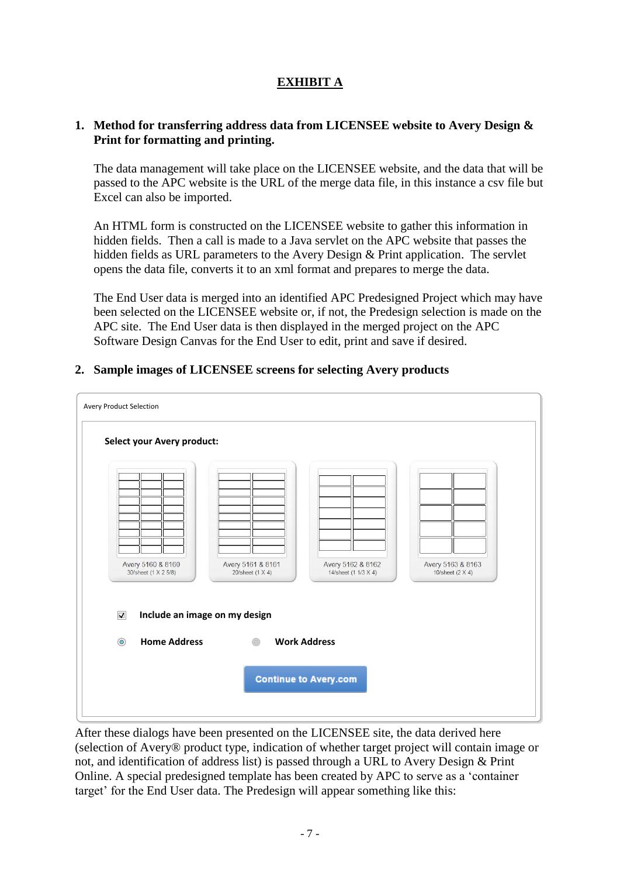# **EXHIBIT A**

#### **1. Method for transferring address data from LICENSEE website to Avery Design & Print for formatting and printing.**

The data management will take place on the LICENSEE website, and the data that will be passed to the APC website is the URL of the merge data file, in this instance a csv file but Excel can also be imported.

An HTML form is constructed on the LICENSEE website to gather this information in hidden fields. Then a call is made to a Java servlet on the APC website that passes the hidden fields as URL parameters to the Avery Design & Print application. The servlet opens the data file, converts it to an xml format and prepares to merge the data.

The End User data is merged into an identified APC Predesigned Project which may have been selected on the LICENSEE website or, if not, the Predesign selection is made on the APC site. The End User data is then displayed in the merged project on the APC Software Design Canvas for the End User to edit, print and save if desired.



## **2. Sample images of LICENSEE screens for selecting Avery products**

After these dialogs have been presented on the LICENSEE site, the data derived here (selection of Avery® product type, indication of whether target project will contain image or not, and identification of address list) is passed through a URL to Avery Design & Print Online. A special predesigned template has been created by APC to serve as a 'container target' for the End User data. The Predesign will appear something like this: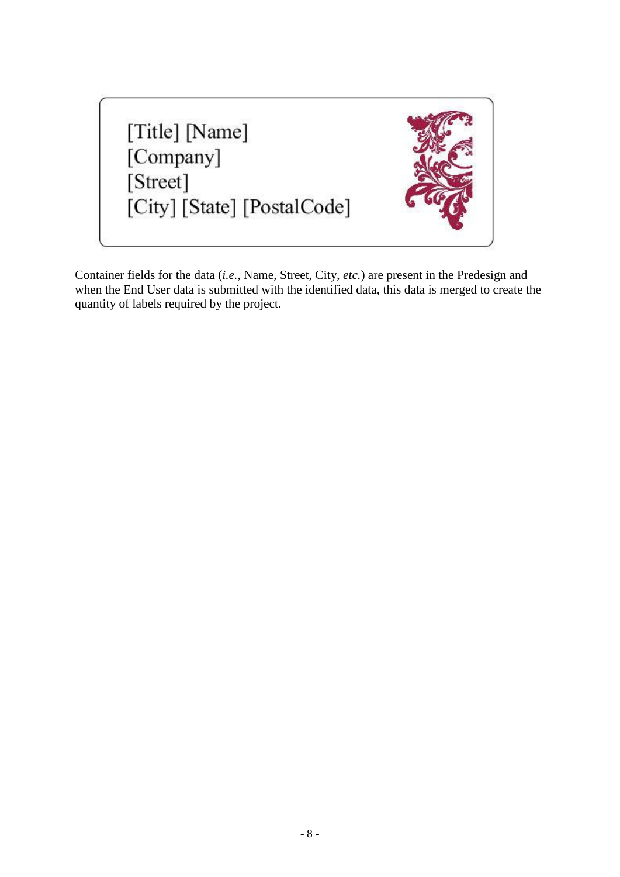[Title] [Name] [Company] [Street] [City] [State] [PostalCode]

Container fields for the data (*i.e.,* Name, Street, City, *etc.*) are present in the Predesign and when the End User data is submitted with the identified data, this data is merged to create the quantity of labels required by the project.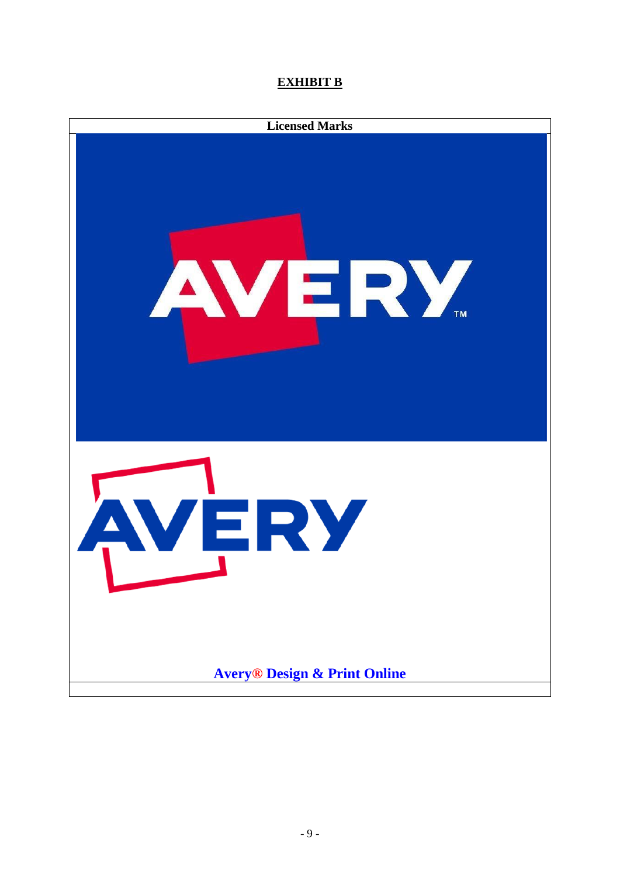## **EXHIBIT B**